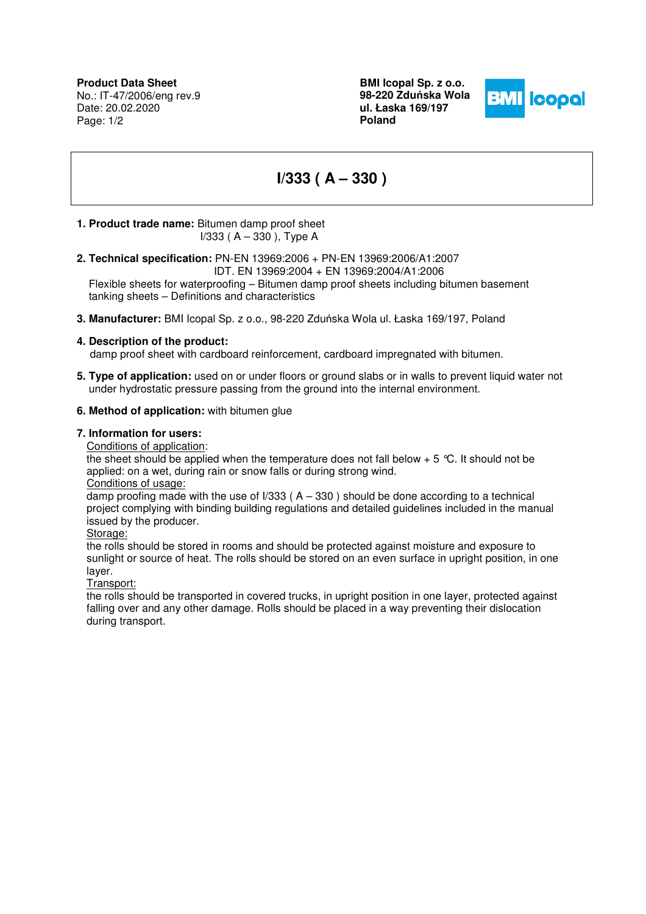**Product Data Sheet** No.: IT-47/2006/eng rev.9 Date: 20.02.2020 Page: 1/2

**BMI Icopal Sp. z o.o. 98-220 Zdu**ń**ska Wola ul. Łaska 169/197 Poland** 



# **I/333 ( A – 330 )**

# **1. Product trade name:** Bitumen damp proof sheet

I/333 ( A – 330 ), Type A

**2. Technical specification:** PN-EN 13969:2006 + PN-EN 13969:2006/A1:2007

IDT. EN 13969:2004 + EN 13969:2004/A1:2006

 Flexible sheets for waterproofing – Bitumen damp proof sheets including bitumen basement tanking sheets – Definitions and characteristics

**3. Manufacturer:** BMI Icopal Sp. z o.o., 98-220 Zduńska Wola ul. Łaska 169/197, Poland

## **4. Description of the product:**

damp proof sheet with cardboard reinforcement, cardboard impregnated with bitumen.

**5. Type of application:** used on or under floors or ground slabs or in walls to prevent liquid water not under hydrostatic pressure passing from the ground into the internal environment.

## **6. Method of application:** with bitumen glue

#### **7. Information for users:**

Conditions of application:

the sheet should be applied when the temperature does not fall below  $+ 5 \degree C$ . It should not be applied: on a wet, during rain or snow falls or during strong wind.

#### Conditions of usage:

damp proofing made with the use of  $1/333$  ( $A - 330$ ) should be done according to a technical project complying with binding building regulations and detailed guidelines included in the manual issued by the producer.

Storage:

the rolls should be stored in rooms and should be protected against moisture and exposure to sunlight or source of heat. The rolls should be stored on an even surface in upright position, in one layer.

#### Transport:

the rolls should be transported in covered trucks, in upright position in one layer, protected against falling over and any other damage. Rolls should be placed in a way preventing their dislocation during transport.